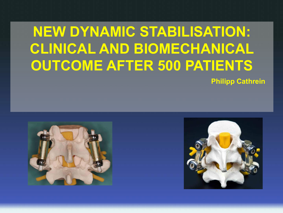# **NEW DYNAMIC STABILISATION: CLINICAL AND BIOMECHANICAL OUTCOME AFTER 500 PATIENTS**

**Philipp Cathrein**



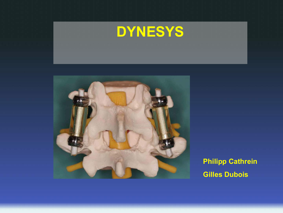



**Philipp Cathrein Gilles Dubois**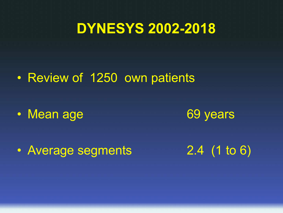• Review of 1250 own patients

• Mean age 69 years

• Average segments 2.4 (1 to 6)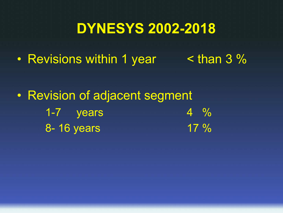• Revisions within 1 year < than 3 %

• Revision of adjacent segment 1-7 years  $4 \frac{9}{6}$ 8-16 years 17 %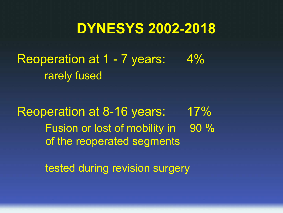Reoperation at 1 - 7 years: 4% rarely fused

Reoperation at 8-16 years: 17% Fusion or lost of mobility in 90 % of the reoperated segments

tested during revision surgery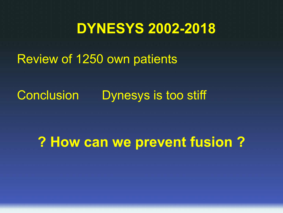Review of 1250 own patients

Conclusion Dynesys is too stiff

**? How can we prevent fusion ?**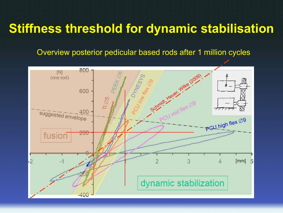#### **Stiffness threshold for dynamic stabilisation**

Overview posterior pedicular based rods after 1 million cycles

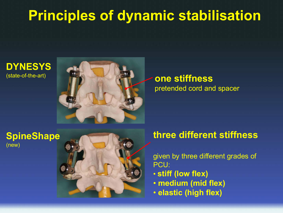# **Principles of dynamic stabilisation**

# **DYNESYS**



# pretended cord and spacer

#### **SpineShape** (new)



#### **three different stiffness**

given by three different grades of PCU:

- **stiff (low flex)**
- **medium (mid flex)**
- **elastic (high flex)**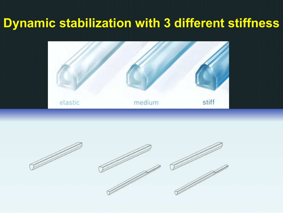#### **Dynamic stabilization with 3 different stiffness**



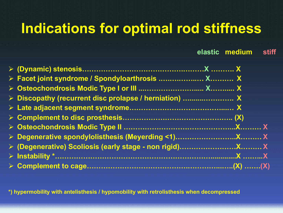# **Indications for optimal rod stiffness**

#### **elastic medium stiff**

| > Facet joint syndrome / Spondyloarthrosis  X X        |  |
|--------------------------------------------------------|--|
|                                                        |  |
| ▶ Discopathy (recurrent disc prolapse / herniation)  X |  |
|                                                        |  |
|                                                        |  |
|                                                        |  |
|                                                        |  |
|                                                        |  |
|                                                        |  |
|                                                        |  |

**\*) hypermobility with antelisthesis / hypomobility with retrolisthesis when decompressed**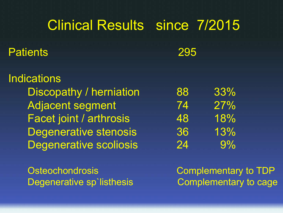# Clinical Results since 7/2015 Patients 295 **Indications** Discopathy / herniation 88 33% Adjacent segment 74 27% Facet joint / arthrosis 48 18% Degenerative stenosis 36 13% Degenerative scoliosis 24 9%

Degenerative sp`listhesis Complementary to cage

Osteochondrosis **Complementary to TDP**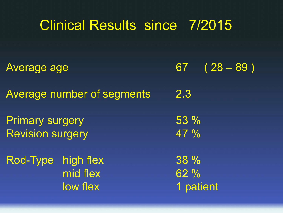|                                                   | <b>Clinical Results since 7/2015</b> |                          |
|---------------------------------------------------|--------------------------------------|--------------------------|
| <b>Average age</b>                                |                                      | $67 (28 - 89)$           |
|                                                   | <b>Average number of segments</b>    | 2.3                      |
| <b>Primary surgery</b><br><b>Revision surgery</b> |                                      | 53%<br>47%               |
| Rod-Type                                          | high flex<br>mid flex<br>low flex    | 38 %<br>62%<br>1 patient |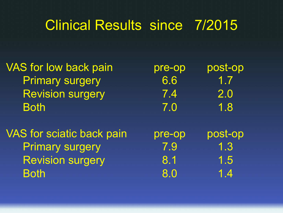| <b>VAS for low back pain</b>     | pre-op | post-op |
|----------------------------------|--------|---------|
| <b>Primary surgery</b>           | 6.6    | 1.7     |
| <b>Revision surgery</b>          | 7.4    | 2.0     |
| <b>Both</b>                      | 7.0    | 1.8     |
|                                  |        |         |
| <b>VAS</b> for sciatic back pain | pre-op | post-op |
| <b>Primary surgery</b>           | 7.9    | 1.3     |
| <b>Revision surgery</b>          | 8.1    | 1.5     |
| <b>Both</b>                      | 8.0    | 1.4     |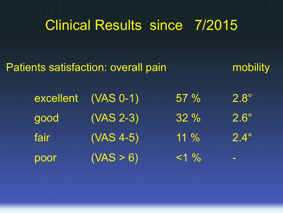| <b>Patients satisfaction: overall pain</b> |           |             |         | mobility                 |
|--------------------------------------------|-----------|-------------|---------|--------------------------|
|                                            | excellent | $(VAS 0-1)$ | $57 \%$ | $2.8^\circ$              |
|                                            | good      | $(VAS 2-3)$ | 32%     | $2.6^\circ$              |
|                                            | fair      | $(VAS 4-5)$ | $11\%$  | $2.4^\circ$              |
|                                            | poor      | (VAS > 6)   | $<1\%$  | $\overline{\phantom{a}}$ |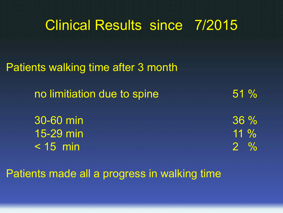| UNINUALI NUUUNUU UNINU TILUTU       |               |
|-------------------------------------|---------------|
|                                     |               |
| Patients walking time after 3 month |               |
| no limitiation due to spine         | 51%           |
|                                     |               |
| 30-60 min                           | $36\%$        |
| 15-29 min                           | $11\%$        |
| $< 15$ min                          | $\frac{0}{0}$ |

Patients made all a progress in walking time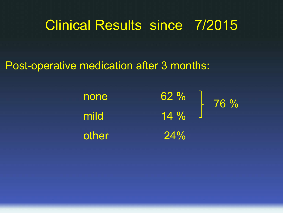#### Post-operative medication after 3 months:

| none  | 62%    | 76 % |
|-------|--------|------|
| mild  | $14\%$ |      |
| other | 24%    |      |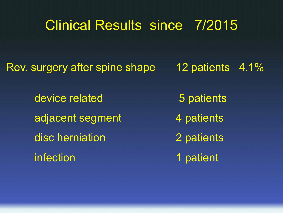Rev. surgery after spine shape 12 patients 4.1%

device related 5 patients adjacent segment 4 patients disc herniation 2 patients infection 1 patient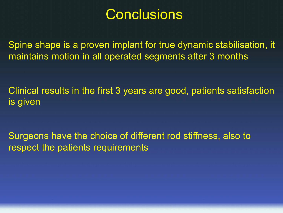#### **Conclusions**

Spine shape is a proven implant for true dynamic stabilisation, it maintains motion in all operated segments after 3 months

Clinical results in the first 3 years are good, patients satisfaction is given

Surgeons have the choice of different rod stiffness, also to respect the patients requirements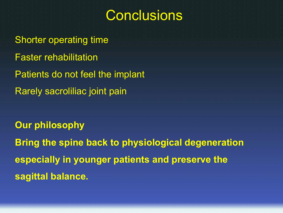### **Conclusions**

Shorter operating time Faster rehabilitation Patients do not feel the implant Rarely sacroliliac joint pain

**Our philosophy Bring the spine back to physiological degeneration especially in younger patients and preserve the sagittal balance.**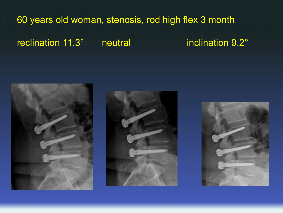#### 60 years old woman, stenosis, rod high flex 3 month

reclination 11.3° neutral inclination 9.2°





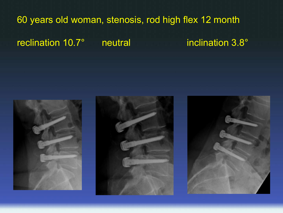#### 60 years old woman, stenosis, rod high flex 12 month

reclination 10.7° neutral inclination 3.8°





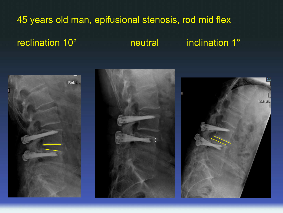#### 45 years old man, epifusional stenosis, rod mid flex

#### reclination 10° and inclination 1°

 $15 -$ 

Inklination



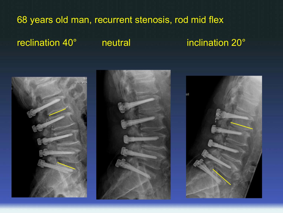#### 68 years old man, recurrent stenosis, rod mid flex

#### reclination 40° **neutral** inclination 20°





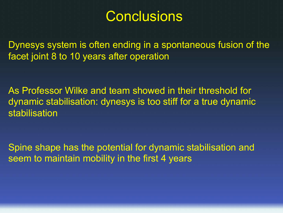## **Conclusions**

Dynesys system is often ending in a spontaneous fusion of the facet joint 8 to 10 years after operation

As Professor Wilke and team showed in their threshold for dynamic stabilisation: dynesys is too stiff for a true dynamic stabilisation

Spine shape has the potential for dynamic stabilisation and seem to maintain mobility in the first 4 years